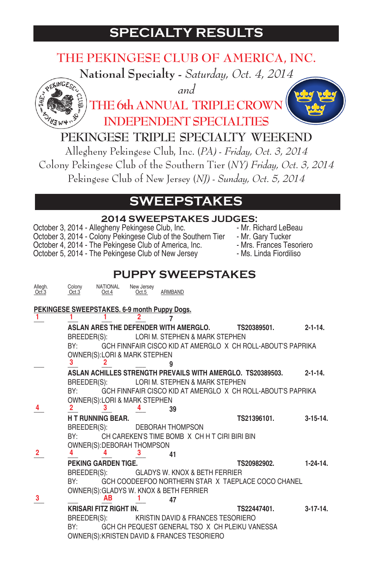# **SPECIALTY RESULTS**

## **THE PEKINGESE CLUB OF AMERICA, INC.**

**National Specialty -** *Saturday, Oct. 4, 2014*



*and* **THE 6th ANNUAL TRIPLE CROW INDEPENDENT SPECIALTIES**



#### **PEKINGESE TRIPLE SPECIALTY WEEKEND**

Allegheny Pekingese Club, Inc. (*PA) - Friday, Oct. 3, 2014* Colony Pekingese Club of the Southern Tier (*NY) Friday, Oct. 3, 2014* Pekingese Club of New Jersey (*NJ) - Sunday, Oct. 5, 2014*

## **SWEEPSTAKES**

|                  |                                                                                                    |                          |                     |                         | <b>2014 SWEEPSTAKES JUDGES:</b>               |                                                                                                                                                                                                                                                              |                |
|------------------|----------------------------------------------------------------------------------------------------|--------------------------|---------------------|-------------------------|-----------------------------------------------|--------------------------------------------------------------------------------------------------------------------------------------------------------------------------------------------------------------------------------------------------------------|----------------|
|                  | October 3, 2014 - Allegheny Pekingese Club, Inc.                                                   |                          |                     |                         |                                               | - Mr. Richard LeBeau<br>Colober 3, 2014 - Colony Pekingese Club of the Southern Tier - Mr. Hichard LeBeau<br>October 4, 2014 - The Pekingese Club of America, Inc. - Mr. Gary Tucker<br>October 5, 2014 - The Pekingese Club of New Jersey - Ms. Linda Fiord |                |
|                  |                                                                                                    |                          |                     |                         | <b>PUPPY SWEEPSTAKES</b>                      |                                                                                                                                                                                                                                                              |                |
| Allegh.<br>Oct.3 | Colony<br>Oct.3                                                                                    | <b>NATIONAL</b><br>Oct.4 | New Jersey<br>Oct.5 | ARMBAND                 |                                               |                                                                                                                                                                                                                                                              |                |
| 1                | PEKINGESE SWEEPSTAKES. 6-9 month Puppy Dogs.                                                       |                          |                     | 7                       |                                               |                                                                                                                                                                                                                                                              |                |
|                  | ASLAN ARES THE DEFENDER WITH AMERGLO.<br>BREEDER(S):                                               |                          |                     |                         | LORI M. STEPHEN & MARK STEPHEN                | TS20389501.                                                                                                                                                                                                                                                  | $2 - 1 - 14$ . |
|                  | BY:<br>OWNER(S): LORI & MARK STEPHEN<br>3                                                          | 2                        |                     |                         |                                               | GCH FINNFAIR CISCO KID AT AMERGLO X CH ROLL-ABOUT'S PAPRIKA                                                                                                                                                                                                  |                |
|                  | BREEDER(S):<br>BY:<br><b>OWNER(S):LORI &amp; MARK STEPHEN</b><br>2                                 | 3                        |                     | 39                      | LORI M. STEPHEN & MARK STEPHEN                | ASLAN ACHILLES STRENGTH PREVAILS WITH AMERGLO. TS20389503.<br>GCH FINNFAIR CISCO KID AT AMERGLO X CH ROLL-ABOUT'S PAPRIKA                                                                                                                                    | $2 - 1 - 14$ . |
|                  | <b>HT RUNNING BEAR.</b><br>BREEDER(S):<br>BY:<br>OWNER(S): DEBORAH THOMPSON                        |                          |                     | <b>DEBORAH THOMPSON</b> | CH CAREKEN'S TIME BOMB X CH H T CIRI BIRI BIN | TS21396101.                                                                                                                                                                                                                                                  | $3-15-14.$     |
| $\mathbf{2}$     | 4<br>PEKING GARDEN TIGE.                                                                           |                          | 3                   | 41                      |                                               | TS20982902.                                                                                                                                                                                                                                                  | $1 - 24 - 14$  |
| 3                | BREEDER(S):<br>BY:<br>OWNER(S): GLADYS W. KNOX & BETH FERRIER                                      | ΑВ                       |                     | 47                      | <b>GLADYS W. KNOX &amp; BETH FERRIER</b>      | GCH COODEEFOO NORTHERN STAR X TAEPLACE COCO CHANEL                                                                                                                                                                                                           |                |
|                  | <b>KRISARI FITZ RIGHT IN.</b><br>BREEDER(S):<br>BY:<br>OWNER(S): KRISTEN DAVID & FRANCES TESORIERO |                          |                     |                         | KRISTIN DAVID & FRANCES TESORIERO             | TS22447401.<br>GCH CH PEQUEST GENERAL TSO X CH PLEIKU VANESSA                                                                                                                                                                                                | $3-17-14$ .    |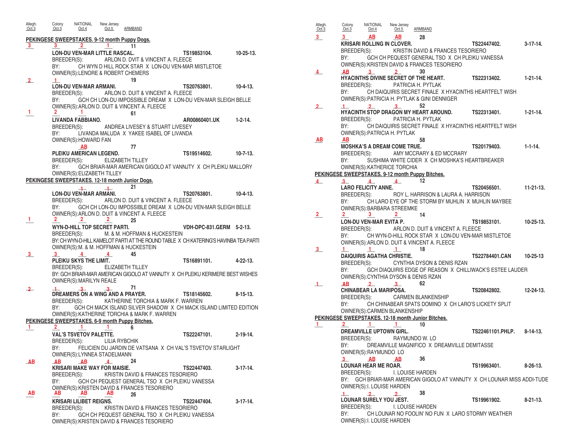**PEKINGESE SWEEPSTAKES. 9-12 month Puppy Dogs. \_\_\_ \_\_\_ \_\_\_ \_\_\_ 11 3 3 2 1 LON-DU VEN-MAR LITTLE RASCAL. TS19853104. 10-25-13.** BREEDER(S): ARLON D. DVIT & VINCENT A. FLEECE<br>BY: CH WYN D HILL ROCK STAR X LON-DU VEN-MAR CH WYN D HILL ROCK STAR X LON-DU VEN-MAR MISTLETOE OWNER(S):LENORE & ROBERT CHEMERS **2 1 19 LON-DU VEN-MAR ARMANI. TS20763801. 10-4-13.** BREEDER(S): ARLON D. DUIT & VINCENT A. FLEECE BY: GCH CH LON-DU IMPOSSIBLE DREAM X LON-DU VEN-MAR SLEIGH BELLE OWNER(S):ARLON D. DUIT & VINCENT A. FLEECE **1 1 2 1 1 61 LIVANDA FABBIANO. AR00860401.UK 1-2-14.** BREEDER(S): ANDREA LIVESEY & STUART LIVESEY BY: LIVANDA MALUDA X YAKEE ISABEL OF LIVANDA OWNER(S):HOWARD FAN **AB** 77 **PLEIKU AMERICAN LEGEND. TS19514602. 10-7-13.** BREEDER(S): ELIZABETH TILLEY BY: GCH BRIAR-MAR AMERICAN GIGOLO AT VANNJTY X CH PLEIKU MALLORY OWNER(S):ELIZABETH TILLEY **PEKINGESE SWEEPSTAKES. 12-18 month Junior Dogs. \_\_\_ \_\_\_ 21 1 1 LON-DU VEN-MAR ARMANI. TS20763801. 10-4-13.** BREEDER(S): ARLON D. DUIT & VINCENT A. FLEECE GCH CH LON-DU IMPOSSIBLE DREAM X LON-DU VEN-MAR SLEIGH BELLE OWNER(S):ARLON D. DUIT & VINCENT A. FLEECE **\_\_\_ \_\_\_ \_\_\_ \_\_\_ 25 1 2 2 2 WYN-D-HILL TOP SECRET PARTI. VDH-DPC-831.GERM 5-2-13.** BREEDER(S): M. & M. HOFFMAN & HUCKESTEIN BY: CH WYN-D-HILL KAMELOT PARTI AT THE ROUND TABLE X CH KATERING'S HAVINBA TEA PARTI OWNER(S):M. & M. HOFFMAN & HUCKESTEIN **<u>1**</del> **1 4 4 4 45**</u> **PLEIKU SKYS THE LIMIT. TS16891101. 4-22-13.** BREEDER(S): ELIZABETH TILLEY BY: GCH BRIAR-MAR AMERICAN GIGOLO AT VANNJTY X CH PLEIKU KERIMERE BEST WISHES OWNER(S):MARILYN REALE **\_\_\_ \_\_\_ \_\_\_ \_\_\_ 71 2 1 3 3 DREAMERS ON A WING AND A PRAYER. TS18145602. 8-15-13.** BREEDER(S): KATHERINE TORCHIA & MARK F. WARREN GCH CH MACK ISLAND SILVER SHADOW X CH MACK ISLAND LIMITED EDITION OWNER(S):KATHERINE TORCHIA & MARK F. WARREN **PEKINGESE SWEEPSTAKES. 6-9 month Puppy Bitches. \_\_\_ \_\_\_ \_\_\_ \_\_\_ 6 1 2 1 1 VAL'S TSVETOV PALETTE. TS22247101. 2-19-14.** BREEDER(S): LILIA RYBCHIK BY: FELICIEN DU JARDIN DE VATSANA X CH VAL'S TSVETOV STARLIGHT OWNER(S):LYNNEA STADELMANN **\_\_\_ \_\_\_ \_\_\_ \_\_\_ 24 AB AB AB 4 KRISARI MAKE WAY FOR MAISIE. TS22447403. 3-17-14.** BREEDER(S): KRISTIN DAVID & FRANCES TESORIERO GCH CH PEQUEST GENERAL TSO X CH PLEIKU VANESSA OWNER(S):KRISTEN DAVID & FRANCES TESORIERO **\_\_\_ \_\_\_ \_\_\_ \_\_\_ 26 AB AB AB AB KRISARI LILIBET REIGNS. TS22447404. 3-17-14.** KRISTIN DAVID & FRANCES TESORIERO GCH CH PEQUEST GENERAL TSO X CH PLEIKU VANESSA OWNER(S):KRISTEN DAVID & FRANCES TESORIERO Allegh. Colony NATIONAL New Jersey<br>
<u>Oct.3</u> Oct.3 Oct.4 Oct.5 Oct.5 ARMBAND  $\mathbf{2}$ 

Allegh. Colony NATIONAL New Jersey Oct.3 Oct.3 Oct.4 Oct.5 ARMBAND **<u>1 \_\_\_ 1 \_\_\_ 1 \_\_\_ 1** *AB 28*</u> **KRISARI ROLLING IN CLOVER. TS22447402. 3-17-14.** BREEDER(S): KRISTIN DAVID & FRANCES TESORIERO<br>BY: GCH CH PEQUEST GENERAL TSO X CH PLEIKU VA GCH CH PEQUEST GENERAL TSO X CH PLEIKU VANESSA OWNER(S):KRISTEN DAVID & FRANCES TESORIERO  $\overline{4}$  **AB 3 2** 30 **HYACINTHS DIVINE SECRET OF THE HEART. TS22313402. 1-21-14.** PATRICIA H. PYTLAK BY: CH DAIQUIRIS SECRET FINALE X HYACINTHS HEARTFELT WISH OWNER(S):PATRICIA H. PYTLAK & GINI DENNIGER **\_\_\_ \_\_\_ \_\_\_ \_\_\_ 52 2 1 2 3 HYACINTH STOP DRAGON MY HEART AROUND. TS22313401. 1-21-14.** BREEDER(S): PATRICIA H. PYTLAK BY: CH DAIQUIRIS SECRET FINALE X HYACINTHS HEARTFELT WISH OWNER(S):PATRICIA H. PYTLAK<br>AB **\_\_\_ \_\_\_ 58 MOSHKA'S A DREAM COME TRUE. TS20179403. 1-1-14.** BREEDER(S): AMY MCCRARY & ED MCCRARY BY: SUSHIMA WHITE CIDER X CH MOSHKA'S HEARTBREAKER OWNER(S):KATHERICE TORCHIA **PEKINGESE SWEEPSTAKES. 9-12 month Puppy Bitches. \_\_\_ \_\_\_ \_\_\_ \_\_\_ 12 4 3 4 4 LARO FELICITY ANNE. TS20456501. 11-21-13.** BREEDER(S): ROY L. HARRISON & LAURA A. HARRISON BY: CH LARO EYE OF THE STORM BY MUHLIN X MUHLIN MAYBEE OWNER(S):BARBARA STREEMKE **\_\_\_ \_\_\_ \_\_\_ \_\_\_ 14 2 2 3 2 LON-DU VEN-MAR EVITA P. TS19853101. 10-25-13.** BREEDER(S): ARLON D. DUIT & VINCENT A. FLEECE CH WYN-D-HILL ROCK STAR X LON-DU VEN-MAR MISTLETOE OWNER(S):ARLON D. DUIT & VINCENT A. FLEECE **\_\_\_ \_\_\_ \_\_\_ \_\_\_ 18 3 1 1 1 DAIQUIRIS AGATHA CHRISTIE. TS22784401.CAN 10-25-13** CYNTHIA DYSON & DENIS RZAN BY: GCH DIAQUIRIS EDGE OF REASON X CHILLIWACK'S ESTEE LAUDER OWNER(S):CYNTHIA DYSON & DENIS RZAN **\_\_\_ \_\_\_ \_\_\_ \_\_\_ 62 1 AB 2 3 CHINABEAR LA MARIPOSA. TS20842802. 12-24-13.** BREEDER(S): CARMEN BLANKENSHIP BY: CH CHINABEAR SPATS DOMINO X CH LARO'S LICKETY SPLIT OWNER(S):CARMEN BLANKENSHIP **PEKINGESE SWEEPSTAKES. 12-18 month Junior Bitches. 1 1 2 1 1 10 DREAMVILLE UPTOWN GIRL. REAMVILLE UPTOWN GIRL. RAYMUNDO W. LO <b>TELL 10 TS22461101.PHLP.** 8-14-13. BREEDER(S): DREAMVILLE MAGNIFICO X DREAMVILLE DEMITASSE OWNER(S):RAYMUNDO LO **\_\_\_ \_\_\_ \_\_\_ 36 3 AB AB LOUNAR HEAR ME ROAR. TS19963401. 8-26-13.** BREEDER(S): I. LOUISE HARDEN BY: GCH BRIAR-MAR AMERICAN GIGOLO AT VANNJTY X CH LOUNAR MISS ADDI-TUDE OWNER(S):I. LOUISE HARDEN **\_\_\_ \_\_\_ \_\_\_ 38 1 2 2LOUNAR SURELY YOU JEST. TS19961902. 8-21-13.** BREEDER(S): I. LOUISE HARDEN CH LOUNAR NO FOOLIN' NO FUN X LARO STORMY WEATHER OWNER(S):I. LOUISE HARDEN **3 3 AB AB 4 AB 3 2 AB AB**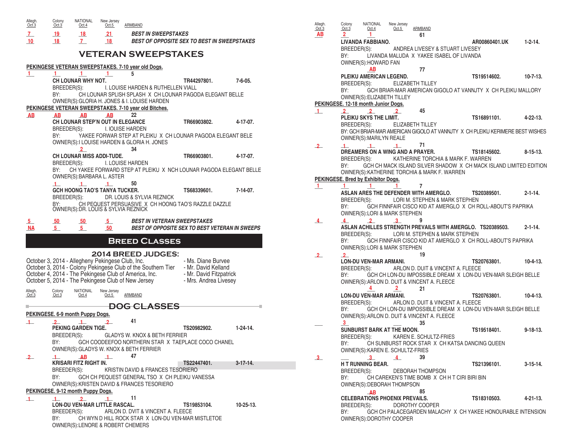| Allegh.<br>Oct.3 | Colony<br>Oct.3                   | <b>NATIONAL</b><br>New Jersey<br>Oct.5<br>Oct.4                     | ARMBAND                                                                                 |                                                    |                  |
|------------------|-----------------------------------|---------------------------------------------------------------------|-----------------------------------------------------------------------------------------|----------------------------------------------------|------------------|
| $\mathbf{Z}_{-}$ | 19                                | 21<br>18                                                            | <b>BEST IN SWEEPSTAKES</b>                                                              |                                                    |                  |
| 10 <sup>°</sup>  | 18                                | 7 <sup>7</sup><br>18                                                |                                                                                         | <b>BEST OF OPPOSITE SEX TO BEST IN SWEEPSTAKES</b> |                  |
|                  |                                   |                                                                     | <b>VETERAN SWEEPSTAKES</b>                                                              |                                                    |                  |
|                  |                                   |                                                                     | PEKINGESE VETERAN SWEEPSTAKES. 7-10 year old Dogs.                                      |                                                    |                  |
| $\mathbf{1}$     | 1<br>1                            | 1                                                                   | 5                                                                                       |                                                    |                  |
|                  | CH LOUNAR WHY NOT.<br>BREEDER(S): |                                                                     | I. LOUISE HARDEN & RUTHELLEN VIALL                                                      | TR44297801.                                        | $7 - 6 - 05$ .   |
|                  | BY:                               |                                                                     | CH LOUNAR SPLISH SPLASH X CH LOUNAR PAGODA ELEGANT BELLE                                |                                                    |                  |
|                  |                                   |                                                                     | OWNER(S): GLORIA H. JONES & I. LOUISE HARDEN                                            |                                                    |                  |
|                  |                                   |                                                                     | PEKINGESE VETERAN SWEEPSTAKES. 7-10 year old Bitches.                                   |                                                    |                  |
| AВ               | AB                                | AВ<br>AB<br><b>CH LOUNAR STEP'N OUT IN ELEGANCE</b>                 | 22                                                                                      | TR66903802.                                        | 4-17-07.         |
|                  | BREEDER(S):                       |                                                                     | I. IOUISE HARDEN                                                                        |                                                    |                  |
|                  | BY:                               |                                                                     | YAKEE FORWAR STEP AT PLEIKU X CH LOUNAR PAGODA ELEGANT BELE                             |                                                    |                  |
|                  |                                   |                                                                     | OWNER(S): I LOUISE HARDEN & GLORIA H. JONES                                             |                                                    |                  |
|                  |                                   | $2^{\circ}$<br><b>CH LOUNAR MISS ADDI-TUDE.</b>                     | 34                                                                                      | TR66903801.                                        | 4-17-07.         |
|                  | BREEDER(S):                       |                                                                     | I. LOUISE HARDEN                                                                        |                                                    |                  |
|                  | BY:                               |                                                                     | CH YAKEE FORWARD STEP AT PLEIKU X NCH LOUNAR PAGODA ELEGANT BELLE                       |                                                    |                  |
|                  |                                   | OWNER(S): BARBARA L. ASTER                                          | 50                                                                                      |                                                    |                  |
|                  | $\mathbf{1}$                      | $\mathbf{1}$<br>$\mathbf 1$<br><b>GCH HOONG TAO'S TANYA TUCKER.</b> |                                                                                         | TS68339601.                                        | $7 - 14 - 07$ .  |
|                  | BREEDER(S):                       |                                                                     | DR. LOUIS & SYLVIA REZNICK                                                              |                                                    |                  |
|                  | BY:                               | OWNER(S): DR. LOUIS & SYLVIA REZNICK                                | CH PEQUEST PERSUASIVE X CH HOONG TAO'S RAZZLE DAZZLE                                    |                                                    |                  |
|                  |                                   |                                                                     |                                                                                         |                                                    |                  |
|                  |                                   |                                                                     |                                                                                         |                                                    |                  |
| 5 <sub>1</sub>   | 50 <sub>2</sub>                   | $5_{-}$<br>50 <sub>2</sub>                                          | <b>BEST IN VETERAN SWEEPSTAKES</b>                                                      |                                                    |                  |
| <b>NA</b>        | $5 -$                             | $5 -$<br>50                                                         |                                                                                         | BEST OF OPPOSITE SEX TO BEST VETERAN IN SWEEPS     |                  |
|                  |                                   |                                                                     | <b>BREED CLASSES</b>                                                                    |                                                    |                  |
|                  |                                   |                                                                     |                                                                                         |                                                    |                  |
|                  |                                   | October 3, 2014 - Allegheny Pekingese Club, Inc.                    | <b>2014 BREED JUDGES:</b>                                                               | - Ms. Diane Burvee                                 |                  |
|                  |                                   |                                                                     | October 3, 2014 - Colony Pekingese Club of the Southern Tier                            | - Mr. David Kelland                                |                  |
|                  |                                   |                                                                     | October 4, 2014 - The Pekingese Club of America, Inc.                                   | - Mr. David Fitzpatrick                            |                  |
|                  |                                   |                                                                     | October 5, 2014 - The Pekingese Club of New Jersey                                      | - Mrs. Andrea Livesey                              |                  |
| Allegh.<br>Oct.3 | Colony<br>Oct.3                   | NATIONAL<br>New Jersey<br>Oct.4<br>Oct.5                            | ARMBAND                                                                                 |                                                    |                  |
|                  |                                   |                                                                     | <b>DOG CLASSES</b>                                                                      |                                                    |                  |
|                  | PEKINGESE. 6-9 month Puppy Dogs.  |                                                                     |                                                                                         |                                                    |                  |
| $\perp$          | $\overline{2}$                    | $\mathbf{1}$                                                        | 41                                                                                      |                                                    |                  |
|                  | <b>PEKING GARDEN TIGE.</b>        |                                                                     |                                                                                         | TS20982902.                                        | $1-24-14.$       |
|                  | BREEDER(S):<br>BY:                |                                                                     | GLADYS W. KNOX & BETH FERRIER<br>GCH COODEEFOO NORTHERN STAR X TAEPLACE COCO CHANEL     |                                                    |                  |
|                  |                                   |                                                                     | OWNER(S): GLADYS W. KNOX & BETH FERRIER                                                 |                                                    |                  |
| $\mathbf{2}$     | 1                                 | AB<br>$\perp$                                                       | 47                                                                                      |                                                    |                  |
|                  | <b>KRISARI FITZ RIGHT IN.</b>     |                                                                     |                                                                                         | TS22447401.                                        | $3-17-14$ .      |
|                  | BREEDER(S):<br>BY:                |                                                                     | KRISTIN DAVID & FRANCES TESORIERO<br>GCH CH PEQUEST GENERAL TSO X CH PLEIKU VANESSA     |                                                    |                  |
|                  |                                   |                                                                     | OWNER(S): KRISTEN DAVID & FRANCES TESORIERO                                             |                                                    |                  |
|                  | PEKINGESE. 9-12 month Puppy Dogs. |                                                                     |                                                                                         |                                                    |                  |
| $\perp$          | 1                                 | 2<br>$\mathbf{1}$                                                   | 11                                                                                      |                                                    |                  |
|                  | BREEDER(S):                       | LON-DU VEN-MAR LITTLE RASCAL.                                       | ARLON D. DVIT & VINCENT A. FLEECE<br>CH WYN D HILL ROCK STAR X LON-DU VEN-MAR MISTLETOE | TS19853104.                                        | $10 - 25 - 13$ . |

OWNER(S):LENORE & ROBERT CHEMERS

**AB**  $\frac{2}{1}$  61 **LIVANDA FABBIANO. AR00860401.UK 1-2-14.** BREEDER(S): ANDREA LIVESEY & STUART LIVESEY BY: LIVANDA MALUDA X YAKEE ISABEL OF LIVANDA OWNER(S):HOWARD FAN **AB** 77 **PLEIKU AMERICAN LEGEND. TS19514602. 10-7-13.** BREEDER(S): ELIZABETH TILLEY BY: GCH BRIAR-MAR AMERICAN GIGOLO AT VANNJTY X CH PLEIKU MALLORY OWNER(S):ELIZABETH TILLEY **PEKINGESE. 12-18 month Junior Dogs. \_\_\_ \_\_\_ \_\_\_ \_\_\_ 45 1 2 2 2 PLEIKU SKYS THE LIMIT. TS16891101. 4-22-13.** BREEDER(S): ELIZABETH TILLEY BY: GCH BRIAR-MAR AMERICAN GIGOLO AT VANNJTY X CH PLEIKU KERIMERE BEST WISHES OWNER(S):MARILYN REALE **\_\_\_ \_\_\_ \_\_\_ \_\_\_ 71 2 1 1 1 DREAMERS ON A WING AND A PRAYER.** TS18145602. 8-15-13.<br>BREEDER(S): KATHERINE TORCHIA & MARK F. WARREN KATHERINE TORCHIA & MARK F. WARREN BY: GCH CH MACK ISLAND SILVER SHADOW X CH MACK ISLAND LIMITED EDITION OWNER(S):KATHERINE TORCHIA & MARK F. WARREN **PEKINGESE. Bred by Exhibitor Dogs. \_\_\_ \_\_\_ \_\_\_ \_\_\_ 7 1 1 1 1 ASLAN ARES THE DEFENDER WITH AMERGLO. TS20389501. 2-1-14.** BREEDER(S): LORI M. STEPHEN & MARK STEPHEN BY: GCH FINNFAIR CISCO KID AT AMERGLO X CH ROLL-ABOUT'S PAPRIKA OWNER(S):LORI & MARK STEPHEN **\_\_\_ \_\_\_ \_\_\_ \_\_\_ 9 4 4 2 3 ASLAN ACHILLES STRENGTH PREVAILS WITH AMERGLO. TS20389503. 2-1-14.** LORI M. STEPHEN & MARK STEPHEN BY: GCH FINNFAIR CISCO KID AT AMERGLO X CH ROLL-ABOUT'S PAPRIKA OWNER(S):LORI & MARK STEPHEN **\_\_\_ \_\_\_ 19 LON-DU VEN-MAR ARMANI. TS20763801. 10-4-13.** BREEDER(S): ARLON D. DUIT & VINCENT A. FLEECE BY: GCH CH LON-DU IMPOSSIBLE DREAM X LON-DU VEN-MAR SLEIGH BELLE OWNER(S):ARLON D. DUIT & VINCENT A. FLEECE **1 1 1 4 2 21 LON-DU VEN-MAR ARMANI. TS20763801. 10-4-13.** BREEDER(S): ARLON D. DUIT & VINCENT A. FLEECE BY: GCH CH LON-DU IMPOSSIBLE DREAM X LON-DU VEN-MAR SLEIGH BELLE OWNER(S):ARLON D. DUIT & VINCENT A. FLEECE **\_\_\_ \_\_\_ \_\_\_ 35 SUNBURST BARK AT THE MOON. TS19518401. 9-18-13.** BREEDER(S): KAREN E. SCHULTZ-FRIES BY: CH SUNBURST ROCK STAR X CH KATSA DANCING QUEEN OWNER(S):KAREN E. SCHULTZ-FRIES **\_\_\_ \_\_\_ \_\_\_ \_\_\_ 39 3 3 4 H T RUNNING BEAR. TS21396101. 3-15-14.** BREEDER(S): DEBORAH THOMPSON<br>BY: CH CAREKEN'S TIME BOMB X CH I CH CAREKEN'S TIME BOMB X CH H T CIRI BIRI BIN OWNER(S):DEBORAH THOMPSON **a AB** 85 **CELEBRATIONS PHOENIX PREVAILS. TS18310503. 4-21-13. AB**BREEDER(S): DOROTHY COOPER BY: GCH CH PALACEGARDEN MALACHY X CH YAKEE HONOURABLE INTENSION Allegh. Colony NATIONAL New Jersey Oct.3 Oct.3 Oct.4 Oct.5 ARMBAND **Allegh.** Colony NATION<br>
<u>Oct.3 Oct.3 Oct.4</u><br> **AB** 2 1 **2 2 3**

OWNER(S):DOROTHY COOPER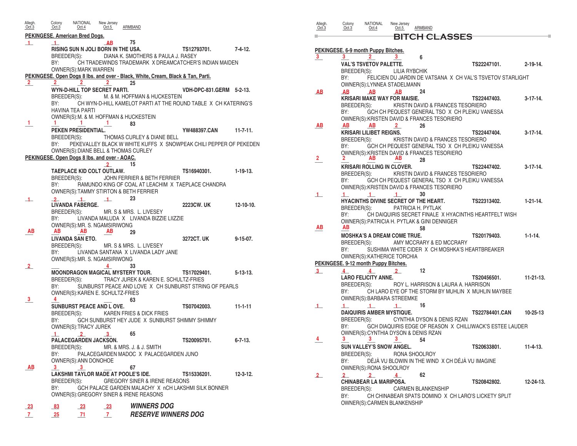| Allegh.<br>Oct.3          | Colony<br>Oct.3       | NATIONAL<br>Oct.4                                                          | New Jersey<br>Oct.5              | ARMBAND                                            |                                                                                 |                  |
|---------------------------|-----------------------|----------------------------------------------------------------------------|----------------------------------|----------------------------------------------------|---------------------------------------------------------------------------------|------------------|
|                           |                       | PEKINGESE. American Bred Dogs.                                             |                                  |                                                    |                                                                                 |                  |
| $\perp$                   | $\blacksquare$<br>BY: | RISING SUN N JOLI BORN IN THE USA.<br>BREEDER(S):<br>OWNER(S): MARK WARREN | AB                               | 75<br>DIANA K. SMOTHERS & PAULA J. RASEY           | TS12793701.<br>CH TRADEWINDS TRADEMARK X DREAMCATCHER'S INDIAN MAIDEN           | 7-4-12.          |
|                           |                       |                                                                            |                                  |                                                    | PEKINGESE. Open Dogs 8 lbs. and over - Black, White, Cream, Black & Tan, Parti. |                  |
| $\mathbf{2}$              | $\mathbf{2}$          | WYN-D-HILL TOP SECRET PARTI.                                               | $\mathbf{2}$                     | 25                                                 | VDH-DPC-831.GERM 5-2-13.                                                        |                  |
|                           |                       | BREEDER(S):                                                                |                                  | M. & M. HOFFMAN & HUCKESTEIN                       |                                                                                 |                  |
|                           | BY:                   |                                                                            |                                  |                                                    | CH WYN-D-HILL KAMELOT PARTI AT THE ROUND TABLE X CH KATERING'S                  |                  |
|                           |                       | <b>HAVINA TEA PARTI</b>                                                    |                                  | OWNER(S): M. & M. HOFFMAN & HUCKESTEIN             |                                                                                 |                  |
| 1.                        |                       | 1.                                                                         | 1.                               | 83                                                 |                                                                                 |                  |
|                           | BREEDER(S):           | PEKEN PRESIDENTIAL.                                                        |                                  | THOMAS CURLEY & DIANE BELL                         | YW488397.CAN                                                                    | $11 - 7 - 11.$   |
|                           | BY:                   |                                                                            |                                  |                                                    | PEKEVALLEY BLACK W WHITE KUFFS X SNOWPEAK CHILI PEPPER OF PEKEDEN               |                  |
|                           |                       |                                                                            |                                  | OWNER(S): DIANE BELL & THOMAS CURLEY               |                                                                                 |                  |
|                           |                       | PEKINGESE. Open Dogs 8 lbs. and over - AOAC.                               | $\mathbf{2}$                     | 15                                                 |                                                                                 |                  |
|                           |                       | TAEPLACE KID COLT OUTLAW.                                                  |                                  |                                                    | TS16940301.                                                                     | $1 - 19 - 13$    |
|                           | BY:                   | BREEDER(S):                                                                |                                  | JOHN FERRIER & BETH FERRIER                        | RAMUNDO KING OF COAL AT LEACHIM X TAEPLACE CHANDRA                              |                  |
|                           |                       |                                                                            |                                  | OWNER(S): TAMMY STIRTON & BETH FERRIER             |                                                                                 |                  |
| $\perp$                   | $\overline{2}$        | $\blacksquare$<br><b>LIVANDA FABERGE.</b>                                  | $\perp$                          | 23                                                 |                                                                                 | $12 - 10 - 10$ . |
|                           |                       | BREEDER(S):                                                                |                                  | MR. S & MRS. L. LIVESEY                            | <b>2223CW, UK</b>                                                               |                  |
|                           | BY:                   |                                                                            |                                  | LIVANDA MALUDA X LIVANDA BIZZIE LIIZZIE            |                                                                                 |                  |
| ΑВ                        | AB                    | OWNER(S): MR. S. NGAMSIRIWONG<br>AB                                        | AB                               | 29                                                 |                                                                                 |                  |
|                           |                       | <b>LIVANDA SAN ETO.</b>                                                    |                                  |                                                    | 3272CT, UK                                                                      | $9 - 15 - 07$ .  |
|                           |                       | BREEDER(S):                                                                |                                  | MR. S & MRS. L. LIVESEY                            |                                                                                 |                  |
|                           | BY:                   | OWNER(S):MR. S. NGAMSIRIWONG                                               |                                  | LIVANDA SANTANA X LIVANDA LADY JANE                |                                                                                 |                  |
| $\mathbf{2}$              |                       |                                                                            | 4                                | 33                                                 |                                                                                 |                  |
|                           |                       |                                                                            |                                  | <b>MOONDRAGON MAGICAL MYSTERY TOUR.</b>            | TS17029401.<br>BREEDER(S): TRACY JUREK & KAREN E. SCHULTZ-FRIES                 | $5 - 13 - 13$ .  |
|                           | BY:                   |                                                                            |                                  |                                                    | SUNBURST PEACE AND LOVE X CH SUNBURST STRING OF PEARLS                          |                  |
| 3                         | 4                     | OWNER(S): KAREN E. SCHULTZ-FRIES                                           |                                  |                                                    |                                                                                 |                  |
|                           |                       | <b>SUNBURST PEACE AND L OVE.</b>                                           |                                  | 63                                                 | TS07042003.                                                                     | $11 - 1 - 11$    |
|                           | BREEDER(S):           |                                                                            |                                  | KAREN FRIES & DICK FRIES                           |                                                                                 |                  |
|                           | BY:                   | OWNER(S):TRACY JUREK                                                       |                                  |                                                    | GCH SUNBURST HEY JUDE X SUNBURST SHIMMY SHIMMY                                  |                  |
|                           | -1.                   | $\mathbf{2}_{-}$                                                           | 3                                | 65                                                 |                                                                                 |                  |
|                           |                       | <b>PALACEGARDEN JACKSON.</b>                                               |                                  | BREEDER(S): MR. & MRS. J. & J. SMITH               | TS20095701.                                                                     | $6 - 7 - 13$ .   |
|                           | BY:                   |                                                                            |                                  |                                                    | PALACEGARDEN MADOC X PALACEGARDEN JUNO                                          |                  |
|                           |                       | OWNER(S): ANN DONOHOE                                                      |                                  |                                                    |                                                                                 |                  |
| AB                        | 3                     | -3                                                                         |                                  | 67<br>LAKSHMI TAYLOR MADE AT POOLE'S IDE.          | TS15336201.                                                                     | $12 - 3 - 12$ .  |
|                           |                       | BREEDER(S):                                                                |                                  | <b>GREGORY SINER &amp; IRENE REASONS</b>           |                                                                                 |                  |
|                           | BY:                   |                                                                            |                                  | <b>OWNER(S): GREGORY SINER &amp; IRENE REASONS</b> | GCH PALACE GARDEN MALACHY X nCH LAKSHMI SILK BONNER                             |                  |
|                           |                       |                                                                            |                                  | <b>WINNERS DOG</b>                                 |                                                                                 |                  |
| $_{23}$<br>7 <sup>7</sup> | $-83$<br>25           | - 23<br>-71                                                                | $\frac{23}{2}$<br>$\overline{7}$ |                                                    | <b>RESERVE WINNERS DOG</b>                                                      |                  |
|                           |                       |                                                                            |                                  |                                                    |                                                                                 |                  |

| Allegh.<br>Oct.3 | Colony<br>Oct.3    | NATIONAL<br>Oct.4                           | New Jersey<br>Oct.5 | <b>ARMBAND</b>                                         |                                                            |                  |
|------------------|--------------------|---------------------------------------------|---------------------|--------------------------------------------------------|------------------------------------------------------------|------------------|
|                  |                    |                                             |                     | <b>BITCH CLASSES</b>                                   |                                                            |                  |
|                  |                    | PEKINGESE. 6-9 month Puppy Bitches.         |                     |                                                        |                                                            |                  |
| 3                | 3.                 | 2.                                          | 3                   | 6                                                      |                                                            |                  |
|                  |                    | <b>VAL'S TSVETOV PALETTE.</b>               |                     |                                                        | TS22247101.                                                | $2 - 19 - 14.$   |
|                  | BREEDER(S):        |                                             |                     | LILIA RYBCHIK                                          |                                                            |                  |
|                  | BY:                |                                             |                     |                                                        | FELICIEN DU JARDIN DE VATSANA X CH VAL'S TSVETOV STARLIGHT |                  |
|                  |                    | OWNER(S):LYNNEA STADELMANN                  |                     |                                                        |                                                            |                  |
| AB               | AВ                 | AB<br><b>KRISARI MAKE WAY FOR MAISIE.</b>   | AB                  | 24                                                     | TS22447403.                                                | $3-17-14.$       |
|                  | BREEDER(S):        |                                             |                     |                                                        | KRISTIN DAVID & FRANCES TESORIERO                          |                  |
|                  | BY:                |                                             |                     |                                                        | GCH CH PEQUEST GENERAL TSO X CH PLEIKU VANESSA             |                  |
|                  |                    |                                             |                     | <b>OWNER(S): KRISTEN DAVID &amp; FRANCES TESORIERO</b> |                                                            |                  |
| AВ               | AВ                 | AВ                                          | 2.                  | 26                                                     |                                                            |                  |
|                  |                    | KRISARI LILIBET REIGNS.                     |                     |                                                        | TS22447404.                                                | $3-17-14.$       |
|                  | BREEDER(S):<br>BY: |                                             |                     |                                                        | KRISTIN DAVID & FRANCES TESORIERO                          |                  |
|                  |                    |                                             |                     | OWNER(S): KRISTEN DAVID & FRANCES TESORIERO            | GCH CH PEQUEST GENERAL TSO X CH PLEIKU VANESSA             |                  |
| 2                |                    | ΑВ                                          | ΑВ                  | 28                                                     |                                                            |                  |
|                  |                    | <b>KRISARI ROLLING IN CLOVER.</b>           |                     |                                                        | TS22447402.                                                | $3-17-14.$       |
|                  | BREEDER(S):        |                                             |                     |                                                        | KRISTIN DAVID & FRANCES TESORIERO                          |                  |
|                  | BY:                |                                             |                     |                                                        | GCH CH PEQUEST GENERAL TSO X CH PLEIKU VANESSA             |                  |
|                  |                    |                                             |                     | OWNER(S): KRISTEN DAVID & FRANCES TESORIERO            |                                                            |                  |
| $\mathbf{1}$     | 1                  | -1                                          | $\blacksquare$      | 30<br>HYACINTHS DIVINE SECRET OF THE HEART.            | TS22313402.                                                | $1 - 21 - 14$ .  |
|                  | BREEDER(S):        |                                             |                     | PATRICIA H. PYTLAK                                     |                                                            |                  |
|                  | BY:                |                                             |                     |                                                        | CH DAIQUIRIS SECRET FINALE X HYACINTHS HEARTFELT WISH      |                  |
|                  |                    |                                             |                     | OWNER(S): PATRICIA H. PYTLAK & GINI DENNIGER           |                                                            |                  |
| ΑВ               | ΑВ                 |                                             |                     | 58                                                     |                                                            |                  |
|                  |                    | <b>MOSHKA'S A DREAM COME TRUE.</b>          |                     |                                                        | TS20179403.                                                | $1 - 1 - 14.$    |
|                  | BREEDER(S):<br>BY: |                                             |                     | AMY MCCRARY & ED MCCRARY                               | SUSHIMA WHITE CIDER X CH MOSHKA'S HEARTBREAKER             |                  |
|                  |                    | OWNER(S): KATHERICE TORCHIA                 |                     |                                                        |                                                            |                  |
|                  |                    | PEKINGESE. 9-12 month Puppy Bitches.        |                     |                                                        |                                                            |                  |
| $3_{-}$          | $\overline{4}$     | 4                                           | $\mathbf{2}$        | 12                                                     |                                                            |                  |
|                  |                    | <b>LARO FELICITY ANNE.</b>                  |                     |                                                        | TS20456501.                                                | $11 - 21 - 13$ . |
|                  | BREEDER(S):        |                                             |                     |                                                        | ROY L. HARRISON & LAURA A. HARRISON                        |                  |
|                  | BY:                |                                             |                     |                                                        | CH LARO EYE OF THE STORM BY MUHLIN X MUHLIN MAYBEE         |                  |
|                  |                    | OWNER(S): BARBARA STREEMKE                  |                     |                                                        |                                                            |                  |
| $\mathbf{1}$     | $\mathbf{1}$       | $\perp$<br><b>DAIQUIRIS AMBER MYSTIQUE.</b> | -1                  | 16                                                     | TS22784401.CAN                                             | $10 - 25 - 13$   |
|                  | BREEDER(S):        |                                             |                     | CYNTHIA DYSON & DENIS RZAN                             |                                                            |                  |
|                  | BY:                |                                             |                     |                                                        | GCH DIAQUIRIS EDGE OF REASON X CHILLIWACK'S ESTEE LAUDER   |                  |
|                  |                    |                                             |                     | OWNER(S): CYNTHIA DYSON & DENIS RZAN                   |                                                            |                  |
| 4                | 3                  | 3.                                          | 3                   | 54                                                     |                                                            |                  |
|                  |                    | <b>SUN VALLEY'S SNOW ANGEL</b>              |                     |                                                        | TS20633801.                                                | $11 - 4 - 13$    |
|                  |                    |                                             |                     | BREEDER(S): RONA SHOOLROY                              |                                                            |                  |
|                  | BY:                | OWNER(S): RONA SHOOLROY                     |                     |                                                        | DÉJÀ VU BLOWIN IN THE WIND X CH DÉJÀ VU IMAGINE            |                  |
| $\mathbf{2}$     | $2^{\circ}$        | 2 <sup>1</sup>                              | $\overline{4}$      | 62                                                     |                                                            |                  |
|                  |                    | <b>CHINABEAR LA MARIPOSA.</b>               |                     |                                                        | TS20842802.                                                | 12-24-13.        |
|                  |                    | BREEDER(S):                                 |                     | <b>CARMEN BLANKENSHIP</b>                              |                                                            |                  |
|                  | BY:                |                                             |                     |                                                        | CH CHINABEAR SPATS DOMINO X CH LARO'S LICKETY SPLIT        |                  |
|                  |                    | OWNER(S): CARMEN BLANKENSHIP                |                     |                                                        |                                                            |                  |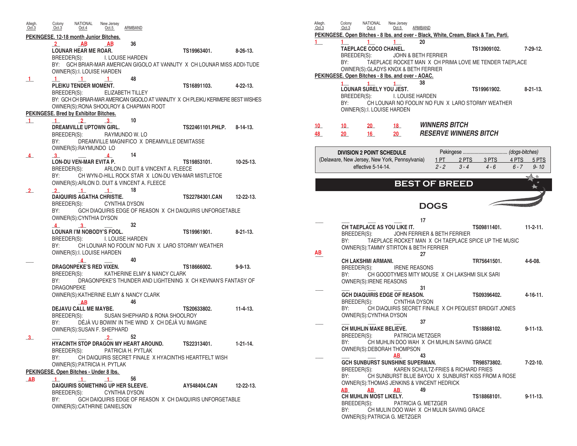| Allegh.<br>Oct.3 | Colony<br>Oct.3          | NATIONAL<br>Oct.4                           | New Jersey<br>Oct.5                             | ARMBAND                                                     |                                                                                  |                  |
|------------------|--------------------------|---------------------------------------------|-------------------------------------------------|-------------------------------------------------------------|----------------------------------------------------------------------------------|------------------|
|                  |                          |                                             | PEKINGESE. 12-18 month Junior Bitches.          |                                                             |                                                                                  |                  |
|                  | $\overline{2}$           | AB<br><b>LOUNAR HEAR ME ROAR.</b>           | AB                                              | 36                                                          | TS19963401.                                                                      | $8 - 26 - 13$ .  |
|                  |                          |                                             | OWNER(S): I. LOUISE HARDEN                      | BREEDER(S): I. LOUISE HARDEN                                | BY: GCH BRIAR-MAR AMERICAN GIGOLO AT VANNJTY X CH LOUNAR MISS ADDI-TUDE          |                  |
| $\mathbf{1}$     | $\mathbf{1}$             | $\blacksquare$                              | $\blacksquare$                                  | 48                                                          |                                                                                  |                  |
|                  | BREEDER(S):              | PLEIKU TENDER MOMENT.                       |                                                 | ELIZABETH TILLEY                                            | TS16891103.                                                                      | $4 - 22 - 13$ .  |
|                  |                          |                                             |                                                 |                                                             | BY: GCH CH BRIAR-MAR AMERICAN GIGOLO AT VANNJTY X CH PLEIKU KERIMERE BEST WISHES |                  |
|                  |                          | PEKINGESE. Bred by Exhibitor Bitches.       |                                                 | OWNER(S): RONA SHOOLROY & CHAPMAN ROOT                      |                                                                                  |                  |
| $\mathbf{1}$     | $\mathbf{1}$             | $\overline{2}$                              | -3.                                             | 10                                                          |                                                                                  |                  |
|                  |                          | <b>DREAMVILLE UPTOWN GIRL.</b>              |                                                 |                                                             | TS22461101.PHLP.                                                                 | $8 - 14 - 13$ .  |
|                  |                          | BREEDER(S):                                 |                                                 | RAYMUNDO W. LO                                              |                                                                                  |                  |
|                  | BY:                      | OWNER(S):RAYMUNDO LO                        |                                                 | DREAMVILLE MAGNIFICO X DREAMVILLE DEMITASSE                 |                                                                                  |                  |
| $4-$             | 3 <sup>1</sup>           |                                             | $\overline{4}$                                  | 14                                                          |                                                                                  |                  |
|                  |                          | <b>LON-DU VEN-MAR EVITA P.</b>              |                                                 | BREEDER(S): ARLON D. DUIT & VINCENT A. FLEECE               | TS19853101.                                                                      | $10 - 25 - 13$ . |
|                  | BY:                      |                                             |                                                 |                                                             | CH WYN-D-HILL ROCK STAR X LON-DU VEN-MAR MISTLETOE                               |                  |
|                  |                          |                                             |                                                 | OWNER(S): ARLON D. DUIT & VINCENT A. FLEECE                 |                                                                                  |                  |
| $\mathbf{2}$     | $\overline{2}$           | $\sim$ 1                                    | $\perp$<br><b>DAIQUIRIS AGATHA CHRISTIE.</b>    | 18                                                          | <b>TS22784301.CAN</b>                                                            | $12 - 22 - 13$ . |
|                  |                          |                                             | BREEDER(S): CYNTHIA DYSON                       |                                                             |                                                                                  |                  |
|                  | BY:                      | OWNER(S): CYNTHIA DYSON                     |                                                 |                                                             | GCH DIAQUIRIS EDGE OF REASON X CH DAIQUIRIS UNFORGETABLE                         |                  |
|                  | $\overline{4}$           | $\mathbf{3}$                                |                                                 | 32                                                          |                                                                                  |                  |
|                  |                          |                                             | <b>LOUNAR I'M NOBODY'S FOOL.</b>                | BREEDER(S): I. LOUISE HARDEN                                | TS19961901.                                                                      | $8 - 21 - 13$ .  |
|                  | BY:                      |                                             |                                                 |                                                             | CH LOUNAR NO FOOLIN' NO FUN X LARO STORMY WEATHER                                |                  |
|                  |                          | $\overline{4}$                              | OWNER(S): I. LOUISE HARDEN                      | 40                                                          |                                                                                  |                  |
|                  |                          | <b>DRAGONPEKE'S RED VIXEN.</b>              |                                                 |                                                             | TS18666002.                                                                      | $9 - 9 - 13$ .   |
|                  |                          |                                             |                                                 | BREEDER(S): KATHERINE ELMY & NANCY CLARK                    |                                                                                  |                  |
|                  | BY:<br><b>DRAGONPEKE</b> |                                             |                                                 |                                                             | DRAGONPEKE'S THUNDER AND LIGHTENING X CH KEVNAN'S FANTASY OF                     |                  |
|                  |                          |                                             |                                                 | OWNER(S): KATHERINE ELMY & NANCY CLARK                      |                                                                                  |                  |
|                  |                          | AB                                          |                                                 | 46                                                          |                                                                                  |                  |
|                  |                          | <b>DEJAVU CALL ME MAYBE.</b><br>BREEDER(S): |                                                 | SUSAN SHEPHARD & RONA SHOOLROY                              | TS20633802.                                                                      | $11 - 4 - 13$ .  |
|                  | BY:                      |                                             |                                                 | DÉJÀ VU BOWIN' IN THE WIND X CH DÉJÀ VU IMAGINE             |                                                                                  |                  |
|                  |                          |                                             | OWNER(S): SUSAN F. SHEPHARD                     |                                                             |                                                                                  |                  |
| 3 <sup>1</sup>   |                          |                                             | $\mathbf{2}$                                    | 52                                                          | TS22313401.                                                                      |                  |
|                  | BREEDER(S):              |                                             |                                                 | HYACINTH STOP DRAGON MY HEART AROUND.<br>PATRICIA H. PYTLAK |                                                                                  | $1 - 21 - 14.$   |
|                  | BY:                      |                                             |                                                 |                                                             | CH DAIQUIRIS SECRET FINALE X HYACINTHS HEARTFELT WISH                            |                  |
|                  |                          |                                             | <b>OWNER(S): PATRICIA H. PYTLAK</b>             |                                                             |                                                                                  |                  |
| AB               | $\mathbf{1}$             | $-1$                                        | PEKINGESE. Open Bitches - Under 8 lbs.<br>$\pm$ | 56                                                          |                                                                                  |                  |
|                  |                          |                                             |                                                 | DAIQUIRIS SOMETHING UP HER SLEEVE.                          | AY548404.CAN                                                                     | $12 - 22 - 13$ . |
|                  |                          | BREEDER(S):                                 |                                                 | <b>CYNTHIA DYSON</b>                                        |                                                                                  |                  |
|                  | BY:                      |                                             | OWNER(S): CATHRINE DANIELSON                    |                                                             | GCH DAIQUIRIS EDGE OF REASON X CH DAIQUIRIS UNFORGETABLE                         |                  |

| Allegh.<br>Oct.3 | Colony<br>Oct.3    | <b>NATIONAL</b><br>Oct.4         | New Jersey<br>Oct.5                                                                       | ARMBAND |                                            |                                                                                      |                     |
|------------------|--------------------|----------------------------------|-------------------------------------------------------------------------------------------|---------|--------------------------------------------|--------------------------------------------------------------------------------------|---------------------|
|                  |                    |                                  |                                                                                           |         |                                            | PEKINGESE. Open Bitches - 8 lbs. and over - Black, White, Cream, Black & Tan, Parti. |                     |
| 1                |                    | <b>TAEPLACE COCO CHANEL.</b>     | 1.                                                                                        | 20      |                                            |                                                                                      | $7 - 29 - 12$ .     |
|                  | BREEDER(S):        |                                  | JOHN & BETH FERRIER                                                                       |         |                                            | TS13909102.                                                                          |                     |
|                  | BY:                |                                  |                                                                                           |         |                                            | TAEPLACE ROCKET MAN X CH PRIMA LOVE ME TENDER TAEPLACE                               |                     |
|                  |                    |                                  | OWNER(S): GLADYS KNOX & BETH FERRIER<br>PEKINGESE. Open Bitches - 8 lbs. and over - AOAC. |         |                                            |                                                                                      |                     |
|                  | $1 \quad$          | $\mathbf{1}$                     | $\mathbf{1}$                                                                              | 38      |                                            |                                                                                      |                     |
|                  |                    | <b>LOUNAR SURELY YOU JEST.</b>   |                                                                                           |         |                                            | TS19961902.                                                                          | $8-21-13$ .         |
|                  | BREEDER(S):<br>BY: |                                  | I. LOUISE HARDEN                                                                          |         |                                            | CH LOUNAR NO FOOLIN' NO FUN X LARO STORMY WEATHER                                    |                     |
|                  |                    |                                  | OWNER(S): I. LOUISE HARDEN                                                                |         |                                            |                                                                                      |                     |
|                  |                    |                                  |                                                                                           |         |                                            |                                                                                      |                     |
| $10-10$          | $10-10$            | $20-$                            | 18                                                                                        |         | <b>WINNERS BITCH</b>                       |                                                                                      |                     |
| 48               | 20 <sub>2</sub>    | 16                               | 20                                                                                        |         | <b>RESERVE WINNERS BITCH</b>               |                                                                                      |                     |
|                  |                    | <b>DIVISION 2 POINT SCHEDULE</b> |                                                                                           |         |                                            |                                                                                      |                     |
|                  |                    |                                  | (Delaware, New Jersey, New York, Pennsylvania)                                            |         | 1 PT                                       | 3 PTS<br>2 PTS                                                                       | 4 PTS<br>5 PTS      |
|                  |                    | effective 5-14-14                |                                                                                           |         | $2 - 2$                                    | $3 - 4$<br>$4 - 6$                                                                   | $6 - 7$<br>$9 - 10$ |
|                  |                    |                                  |                                                                                           |         |                                            |                                                                                      | ≪                   |
|                  |                    |                                  |                                                                                           |         | <b>BEST OF BREED</b>                       |                                                                                      |                     |
|                  |                    |                                  |                                                                                           |         |                                            |                                                                                      |                     |
|                  |                    |                                  |                                                                                           |         | <b>DOGS</b>                                |                                                                                      |                     |
|                  |                    |                                  |                                                                                           | 17      |                                            |                                                                                      |                     |
|                  |                    |                                  | CH TAEPLACE AS YOU LIKE IT.                                                               |         |                                            | TS09811401.                                                                          | $11-2-11.$          |
|                  | BREEDER(S):        |                                  |                                                                                           |         | JOHN FERRIER & BETH FERRIER                |                                                                                      |                     |
|                  | BY:                |                                  | OWNER(S): TAMMY STIRTON & BETH FERRIER                                                    |         |                                            | TAEPLACE ROCKET MAN X CH TAEPLACE SPICE UP THE MUSIC                                 |                     |
| AВ               |                    |                                  |                                                                                           | 27      |                                            |                                                                                      |                     |
|                  | BREEDER(S):        | <b>CH LAKSHMI ARMANI.</b>        | <b>IRENE REASONS</b>                                                                      |         |                                            | TR75641501.                                                                          | $4 - 6 - 08$ .      |
|                  | BY:                |                                  |                                                                                           |         |                                            | CH GOODTYMES MITY MOUSE X CH LAKSHMI SILK SARI                                       |                     |
|                  |                    | OWNER(S): IRENE REASONS          |                                                                                           |         |                                            |                                                                                      |                     |
|                  |                    |                                  | <b>GCH DIAQUIRIS EDGE OF REASON.</b>                                                      | 31      |                                            | TS09396402.                                                                          | 4-16-11.            |
|                  | BREEDER(S):        |                                  | <b>CYNTHIA DYSON</b>                                                                      |         |                                            |                                                                                      |                     |
|                  | BY:                | OWNER(S): CYNTHIA DYSON          |                                                                                           |         |                                            | CH DIAQUIRIS SECRET FINALE X CH PEQUEST BRIDGIT JONES                                |                     |
|                  |                    |                                  |                                                                                           | 37      |                                            |                                                                                      |                     |
|                  |                    | CH MUHLIN MAKE BELIEVE.          |                                                                                           |         |                                            | TS18868102.                                                                          | $9 - 11 - 13$ .     |
|                  | BREEDER(S):<br>BY: |                                  | <b>PATRICIA METZGER</b>                                                                   |         | CH MUHLIN DOO WAH X CH MUHLIN SAVING GRACE |                                                                                      |                     |
|                  |                    |                                  | OWNER(S): DEBORAH THOMPSON                                                                |         |                                            |                                                                                      |                     |
|                  |                    |                                  | AB<br><b>GCH SUNBURST SUNSHINE SUPERMAN.</b>                                              | 43      |                                            | TR98573802.                                                                          | $7 - 22 - 10$ .     |
|                  | BREEDER(S):        |                                  |                                                                                           |         | KAREN SCHULTZ-FRIES & RICHARD FRIES        |                                                                                      |                     |
|                  | BY:                |                                  |                                                                                           |         |                                            | CH SUNBURST BLUE BAYOU X SUNBURST KISS FROM A ROSE                                   |                     |
|                  | AB                 | AB.                              | <b>AB</b>                                                                                 | 49      | OWNER(S): THOMAS JENKINS & VINCENT HEDRICK |                                                                                      |                     |
|                  |                    | CH MUHLIN MOST LIKELY.           |                                                                                           |         |                                            | TS18868101.                                                                          | $9 - 11 - 13$ .     |
|                  | BREEDER(S):<br>BY: |                                  | PATRICIA G. METZGER                                                                       |         | CH MULIN DOO WAH X CH MULIN SAVING GRACE   |                                                                                      |                     |
|                  |                    |                                  | OWNER(S): PATRICIA G. METZGER                                                             |         |                                            |                                                                                      |                     |